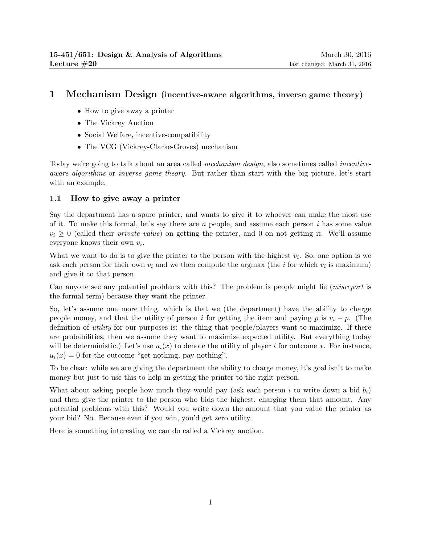# 1 Mechanism Design (incentive-aware algorithms, inverse game theory)

- How to give away a printer
- The Vickrey Auction
- Social Welfare, incentive-compatibility
- The VCG (Vickrey-Clarke-Groves) mechanism

Today we're going to talk about an area called mechanism design, also sometimes called incentiveaware algorithms or inverse game theory. But rather than start with the big picture, let's start with an example.

## 1.1 How to give away a printer

Say the department has a spare printer, and wants to give it to whoever can make the most use of it. To make this formal, let's say there are  $n$  people, and assume each person i has some value  $v_i \geq 0$  (called their *private value*) on getting the printer, and 0 on not getting it. We'll assume everyone knows their own  $v_i$ .

What we want to do is to give the printer to the person with the highest  $v_i$ . So, one option is we ask each person for their own  $v_i$  and we then compute the argmax (the *i* for which  $v_i$  is maximum) and give it to that person.

Can anyone see any potential problems with this? The problem is people might lie (misreport is the formal term) because they want the printer.

So, let's assume one more thing, which is that we (the department) have the ability to charge people money, and that the utility of person i for getting the item and paying p is  $v_i - p$ . (The definition of utility for our purposes is: the thing that people/players want to maximize. If there are probabilities, then we assume they want to maximize expected utility. But everything today will be deterministic.) Let's use  $u_i(x)$  to denote the utility of player i for outcome x. For instance,  $u_i(x) = 0$  for the outcome "get nothing, pay nothing".

To be clear: while we are giving the department the ability to charge money, it's goal isn't to make money but just to use this to help in getting the printer to the right person.

What about asking people how much they would pay (ask each person i to write down a bid  $b_i$ ) and then give the printer to the person who bids the highest, charging them that amount. Any potential problems with this? Would you write down the amount that you value the printer as your bid? No. Because even if you win, you'd get zero utility.

Here is something interesting we can do called a Vickrey auction.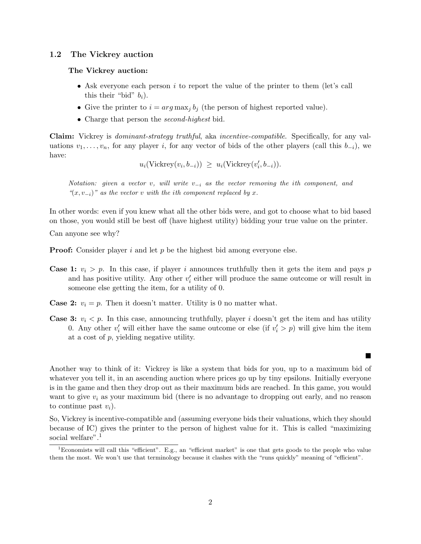#### 1.2 The Vickrey auction

#### The Vickrey auction:

- Ask everyone each person i to report the value of the printer to them (let's call this their "bid"  $b_i$ ).
- Give the printer to  $i = arg \max_j b_j$  (the person of highest reported value).
- Charge that person the *second-highest* bid.

Claim: Vickrey is dominant-strategy truthful, aka incentive-compatible. Specifically, for any valuations  $v_1, \ldots, v_n$ , for any player i, for any vector of bids of the other players (call this  $b_{-i}$ ), we have:

$$
u_i(\text{Vickrey}(v_i, b_{-i})) \geq u_i(\text{Vickrey}(v'_i, b_{-i})).
$$

Notation: given a vector v, will write  $v_{-i}$  as the vector removing the ith component, and " $(x, v_{-i})$ " as the vector v with the ith component replaced by x.

In other words: even if you knew what all the other bids were, and got to choose what to bid based on those, you would still be best off (have highest utility) bidding your true value on the printer.

Can anyone see why?

**Proof:** Consider player i and let  $p$  be the highest bid among everyone else.

- **Case 1:**  $v_i > p$ . In this case, if player i announces truthfully then it gets the item and pays p and has positive utility. Any other  $v_i'$  either will produce the same outcome or will result in someone else getting the item, for a utility of 0.
- **Case 2:**  $v_i = p$ . Then it doesn't matter. Utility is 0 no matter what.
- **Case 3:**  $v_i < p$ . In this case, announcing truthfully, player i doesn't get the item and has utility 0. Any other  $v'_i$  will either have the same outcome or else (if  $v'_i > p$ ) will give him the item at a cost of p, yielding negative utility.

П

Another way to think of it: Vickrey is like a system that bids for you, up to a maximum bid of whatever you tell it, in an ascending auction where prices go up by tiny epsilons. Initially everyone is in the game and then they drop out as their maximum bids are reached. In this game, you would want to give  $v_i$  as your maximum bid (there is no advantage to dropping out early, and no reason to continue past  $v_i$ ).

So, Vickrey is incentive-compatible and (assuming everyone bids their valuations, which they should because of IC) gives the printer to the person of highest value for it. This is called "maximizing social welfare".<sup>1</sup>

<sup>1</sup>Economists will call this "efficient". E.g., an "efficient market" is one that gets goods to the people who value them the most. We won't use that terminology because it clashes with the "runs quickly" meaning of "efficient".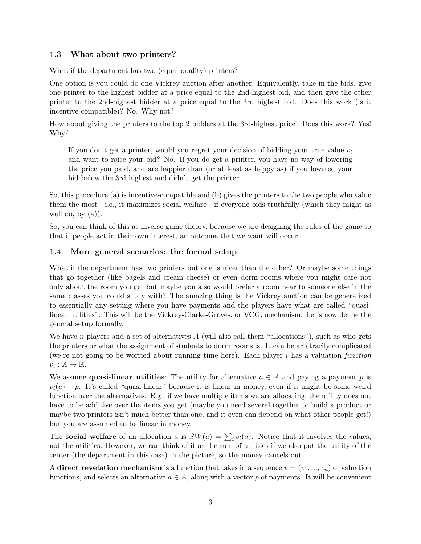## 1.3 What about two printers?

What if the department has two (equal quality) printers?

One option is you could do one Vickrey auction after another. Equivalently, take in the bids, give one printer to the highest bidder at a price equal to the 2nd-highest bid, and then give the other printer to the 2nd-highest bidder at a price equal to the 3rd highest bid. Does this work (is it incentive-compatible)? No. Why not?

How about giving the printers to the top 2 bidders at the 3rd-highest price? Does this work? Yes! Why?

If you don't get a printer, would you regret your decision of bidding your true value  $v_i$ and want to raise your bid? No. If you do get a printer, you have no way of lowering the price you paid, and are happier than (or at least as happy as) if you lowered your bid below the 3rd highest and didn't get the printer.

So, this procedure (a) is incentive-compatible and (b) gives the printers to the two people who value them the most—i.e., it maximizes social welfare—if everyone bids truthfully (which they might as well do, by  $(a)$ ).

So, you can think of this as inverse game theory, because we are designing the rules of the game so that if people act in their own interest, an outcome that we want will occur.

### 1.4 More general scenarios: the formal setup

What if the department has two printers but one is nicer than the other? Or maybe some things that go together (like bagels and cream cheese) or even dorm rooms where you might care not only about the room you get but maybe you also would prefer a room near to someone else in the same classes you could study with? The amazing thing is the Vickrey auction can be generalized to essentially any setting where you have payments and the players have what are called "quasilinear utilities". This will be the Vickrey-Clarke-Groves, or VCG, mechanism. Let's now define the general setup formally.

We have n players and a set of alternatives  $A$  (will also call them "allocations"), such as who gets the printers or what the assignment of students to dorm rooms is. It can be arbitrarily complicated (we're not going to be worried about running time here). Each player  $i$  has a valuation function  $v_i: A \to \mathbb{R}$ .

We assume **quasi-linear utilities**: The utility for alternative  $a \in A$  and paying a payment p is  $v_i(a) - p$ . It's called "quasi-linear" because it is linear in money, even if it might be some weird function over the alternatives. E.g., if we have multiple items we are allocating, the utility does not have to be additive over the items you get (maybe you need several together to build a product or maybe two printers isn't much better than one, and it even can depend on what other people get!) but you are assumed to be linear in money.

The **social welfare** of an allocation a is  $SW(a) = \sum_i v_i(a)$ . Notice that it involves the values, not the utilities. However, we can think of it as the sum of utilities if we also put the utility of the center (the department in this case) in the picture, so the money cancels out.

A direct revelation mechanism is a function that takes in a sequence  $v = (v_1, ..., v_n)$  of valuation functions, and selects an alternative  $a \in A$ , along with a vector p of payments. It will be convenient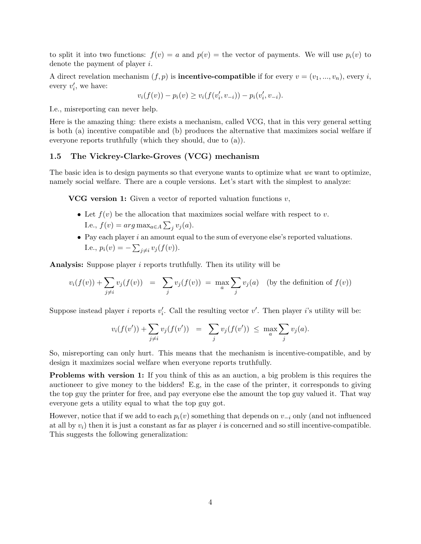to split it into two functions:  $f(v) = a$  and  $p(v) =$  the vector of payments. We will use  $p_i(v)$  to denote the payment of player i.

A direct revelation mechanism  $(f, p)$  is **incentive-compatible** if for every  $v = (v_1, ..., v_n)$ , every *i*, every  $v'_i$ , we have:

$$
v_i(f(v)) - p_i(v) \ge v_i(f(v'_i, v_{-i})) - p_i(v'_i, v_{-i}).
$$

I.e., misreporting can never help.

Here is the amazing thing: there exists a mechanism, called VCG, that in this very general setting is both (a) incentive compatible and (b) produces the alternative that maximizes social welfare if everyone reports truthfully (which they should, due to (a)).

#### 1.5 The Vickrey-Clarke-Groves (VCG) mechanism

The basic idea is to design payments so that everyone wants to optimize what we want to optimize, namely social welfare. There are a couple versions. Let's start with the simplest to analyze:

**VCG** version 1: Given a vector of reported valuation functions  $v$ ,

- Let  $f(v)$  be the allocation that maximizes social welfare with respect to v. I.e.,  $f(v) = arg \max_{a \in A} \sum_j v_j(a)$ .
- $\bullet$  Pay each player i an amount equal to the sum of everyone else's reported valuations. I.e.,  $p_i(v) = -\sum_{j \neq i} v_j(f(v)).$

Analysis: Suppose player i reports truthfully. Then its utility will be

$$
v_i(f(v)) + \sum_{j \neq i} v_j(f(v)) = \sum_j v_j(f(v)) = \max_a \sum_j v_j(a) \text{ (by the definition of } f(v))
$$

Suppose instead player *i* reports  $v'_i$ . Call the resulting vector  $v'$ . Then player *i*'s utility will be:

$$
v_i(f(v')) + \sum_{j \neq i} v_j(f(v')) = \sum_j v_j(f(v')) \le \max_a \sum_j v_j(a).
$$

So, misreporting can only hurt. This means that the mechanism is incentive-compatible, and by design it maximizes social welfare when everyone reports truthfully.

Problems with version 1: If you think of this as an auction, a big problem is this requires the auctioneer to give money to the bidders! E.g, in the case of the printer, it corresponds to giving the top guy the printer for free, and pay everyone else the amount the top guy valued it. That way everyone gets a utility equal to what the top guy got.

However, notice that if we add to each  $p_i(v)$  something that depends on  $v_{-i}$  only (and not influenced at all by  $v_i$ ) then it is just a constant as far as player i is concerned and so still incentive-compatible. This suggests the following generalization: